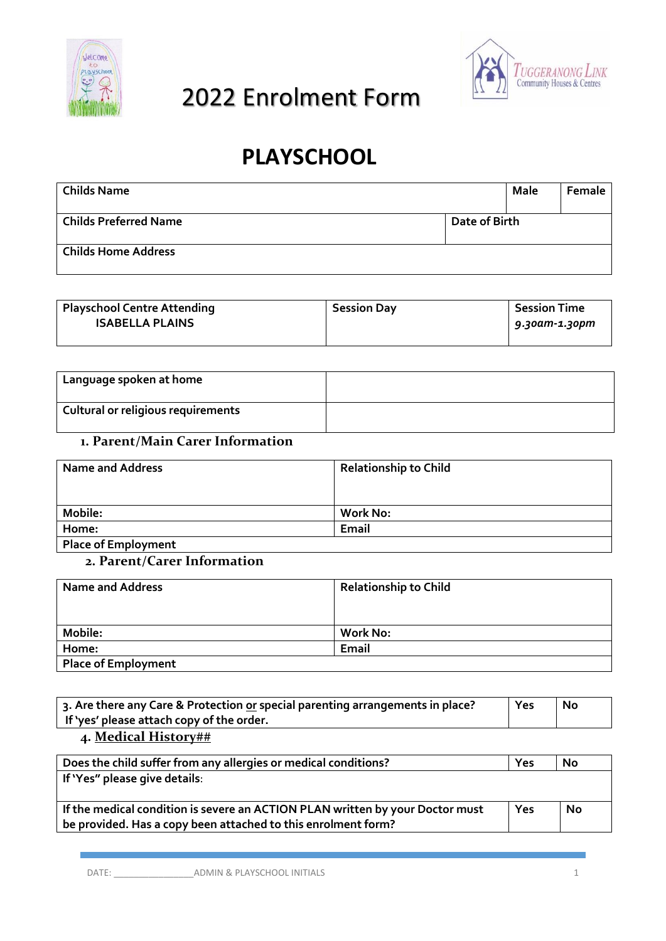



# **PLAYSCHOOL**

| <b>Childs Name</b>         |               | Male | Female |
|----------------------------|---------------|------|--------|
| Childs Preferred Name      | Date of Birth |      |        |
| <b>Childs Home Address</b> |               |      |        |

| <b>Playschool Centre Attending</b> | <b>Session Day</b> | <b>Session Time</b> |
|------------------------------------|--------------------|---------------------|
| <b>ISABELLA PLAINS</b>             |                    | 9.30am-1.30pm       |
|                                    |                    |                     |

| Language spoken at home            |  |
|------------------------------------|--|
| Cultural or religious requirements |  |

#### **1. Parent/Main Carer Information**

| <b>Name and Address</b>    | <b>Relationship to Child</b> |
|----------------------------|------------------------------|
| Mobile:                    | <b>Work No:</b>              |
| Home:                      | Email                        |
| <b>Place of Employment</b> |                              |

#### **2. Parent/Carer Information**

| <b>Name and Address</b>    | <b>Relationship to Child</b> |
|----------------------------|------------------------------|
|                            |                              |
| Mobile:                    | <b>Work No:</b>              |
| Home:                      | Email                        |
| <b>Place of Employment</b> |                              |

| 3. Are there any Care & Protection or special parenting arrangements in place?<br>If 'yes' please attach copy of the order. | Yes | No |
|-----------------------------------------------------------------------------------------------------------------------------|-----|----|
| 4. Medical History##                                                                                                        |     |    |
| Does the child suffer from any allergies or medical conditions?                                                             | Yes | No |
| If Was" places give details.                                                                                                |     |    |

| If 'Yes" please give details:                                                 |     |    |
|-------------------------------------------------------------------------------|-----|----|
| If the medical condition is severe an ACTION PLAN written by your Doctor must | Yes | No |
| be provided. Has a copy been attached to this enrolment form?                 |     |    |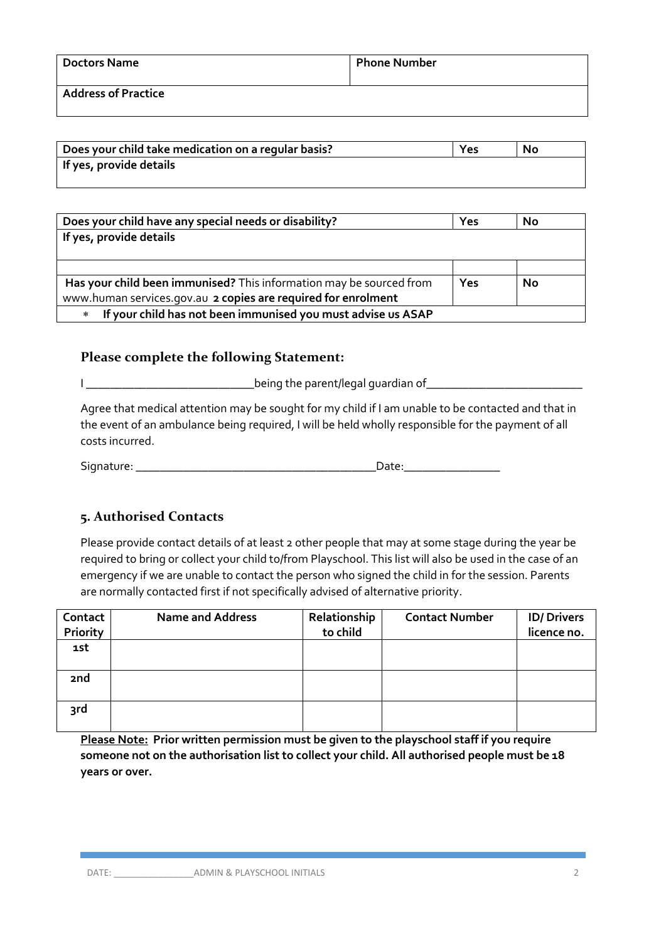| <b>Doctors Name</b>        | <b>Phone Number</b> |
|----------------------------|---------------------|
| <b>Address of Practice</b> |                     |

| Does your child take medication on a regular basis? | Yes | <b>No</b> |
|-----------------------------------------------------|-----|-----------|
| If yes, provide details                             |     |           |

| Does your child have any special needs or disability?                  | Yes | <b>No</b> |
|------------------------------------------------------------------------|-----|-----------|
| If yes, provide details                                                |     |           |
|                                                                        |     |           |
|                                                                        |     |           |
| Has your child been immunised? This information may be sourced from    | Yes | <b>No</b> |
| www.human services.gov.au 2 copies are required for enrolment          |     |           |
| If your child has not been immunised you must advise us ASAP<br>$\ast$ |     |           |

#### **Please complete the following Statement:**

I \_\_\_\_\_\_\_\_\_\_\_\_\_\_\_\_\_\_\_\_\_\_\_\_\_\_\_\_being the parent/legal guardian of\_\_\_\_\_\_\_\_\_\_\_\_\_\_\_\_\_\_\_\_\_\_\_\_\_\_

Agree that medical attention may be sought for my child if I am unable to be contacted and that in the event of an ambulance being required, I will be held wholly responsible for the payment of all costs incurred.

Signature: \_\_\_\_\_\_\_\_\_\_\_\_\_\_\_\_\_\_\_\_\_\_\_\_\_\_\_\_\_\_\_\_\_\_\_\_\_\_\_\_Date:\_\_\_\_\_\_\_\_\_\_\_\_\_\_\_\_

# **5. Authorised Contacts**

Please provide contact details of at least 2 other people that may at some stage during the year be required to bring or collect your child to/from Playschool. This list will also be used in the case of an emergency if we are unable to contact the person who signed the child in for the session. Parents are normally contacted first if not specifically advised of alternative priority.

| Contact<br>Priority | <b>Name and Address</b> | Relationship<br>to child | <b>Contact Number</b> | <b>ID/Drivers</b><br>licence no. |
|---------------------|-------------------------|--------------------------|-----------------------|----------------------------------|
| 1st                 |                         |                          |                       |                                  |
| 2 <sub>nd</sub>     |                         |                          |                       |                                  |
| 3rd                 |                         |                          |                       |                                  |

**Please Note: Prior written permission must be given to the playschool staff if you require someone not on the authorisation list to collect your child. All authorised people must be 18 years or over.**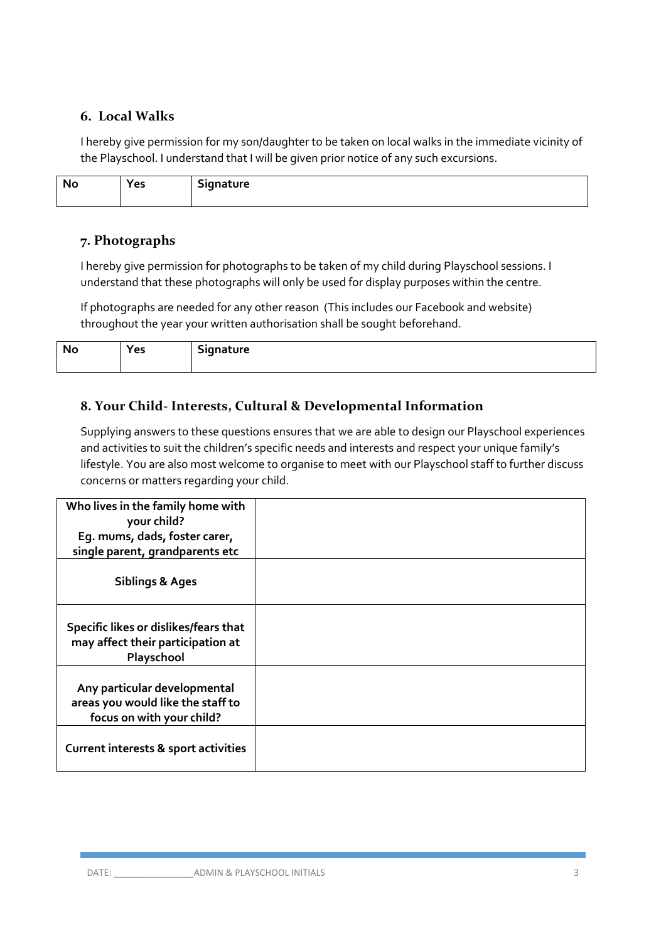#### **6. Local Walks**

I hereby give permission for my son/daughter to be taken on local walks in the immediate vicinity of the Playschool. I understand that I will be given prior notice of any such excursions.

| N.<br>__ | ີ | $\sim$ - $\sim$<br>-----<br>$\overline{\phantom{a}}$ |
|----------|---|------------------------------------------------------|
|          |   |                                                      |

# **7. Photographs**

I hereby give permission for photographs to be taken of my child during Playschool sessions. I understand that these photographs will only be used for display purposes within the centre.

If photographs are needed for any other reason (This includes our Facebook and website) throughout the year your written authorisation shall be sought beforehand.

| n.<br>ш. | $\sim$ $\sim$ $\sim$<br><br> | .<br>.טו כ<br>-<br>۰ |
|----------|------------------------------|----------------------|
|          |                              |                      |

# **8. Your Child- Interests, Cultural & Developmental Information**

Supplying answers to these questions ensures that we are able to design our Playschool experiences and activities to suit the children's specific needs and interests and respect your unique family's lifestyle. You are also most welcome to organise to meet with our Playschool staff to further discuss concerns or matters regarding your child.

| Who lives in the family home with<br>your child?                                               |  |
|------------------------------------------------------------------------------------------------|--|
| Eg. mums, dads, foster carer,                                                                  |  |
| single parent, grandparents etc                                                                |  |
| <b>Siblings &amp; Ages</b>                                                                     |  |
| Specific likes or dislikes/fears that<br>may affect their participation at<br>Playschool       |  |
| Any particular developmental<br>areas you would like the staff to<br>focus on with your child? |  |
| Current interests & sport activities                                                           |  |